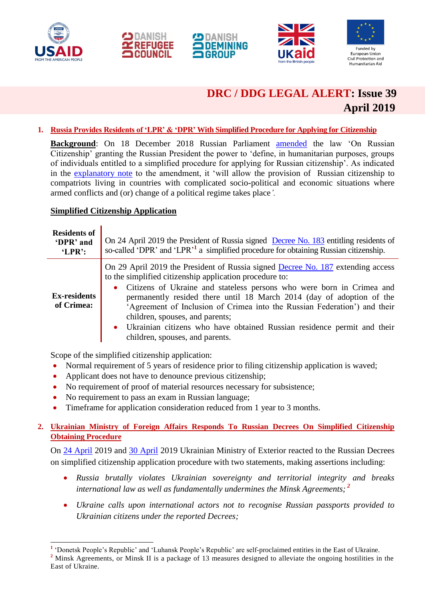

1







## **DRC / DDG LEGAL ALERT: Issue 39 April 2019**

## **1. Russia Provides Residents of 'LPR' & 'DPR' With Simplified Procedure for Applying for Citizenship**

**Background**: On 18 December 2018 Russian Parliament **[amended](http://pravo.gov.ru/proxy/ips/?docbody=&vkart=card&nd=102500760&rdk=&backlink=1)** the law 'On Russian Citizenship' granting the Russian President the power to 'define, in humanitarian purposes, groups of individuals entitled to a simplified procedure for applying for Russian citizenship'. As indicated in the [explanatory note](http://www.consultant.ru/cons/cgi/online.cgi?rnd=F5046F345A445493E0EDCDF6517E39C9&req=doc&base=PRJ&n=174343&REFFIELD=134&REFDST=1000000017&REFDOC=174263&REFBASE=PRJ&stat=refcode%3D16876%3Bindex%3D24#2lyf0774y5y) to the amendment, it 'will allow the provision of Russian citizenship to compatriots living in countries with complicated socio-political and economic situations where armed conflicts and (or) change of a political regime takes place*'.*

### **Simplified Citizenship Application**

| <b>Residents of</b><br>'DPR' and<br>'LPR': | On 24 April 2019 the President of Russia signed Decree No. 183 entitling residents of<br>so-called 'DPR' and 'LPR' <sup>1</sup> a simplified procedure for obtaining Russian citizenship.                                                                                                                                                                                                                                                                                                                                                            |
|--------------------------------------------|------------------------------------------------------------------------------------------------------------------------------------------------------------------------------------------------------------------------------------------------------------------------------------------------------------------------------------------------------------------------------------------------------------------------------------------------------------------------------------------------------------------------------------------------------|
| <b>Ex-residents</b><br>of Crimea:          | On 29 April 2019 the President of Russia signed Decree No. 187 extending access<br>to the simplified citizenship application procedure to:<br>Citizens of Ukraine and stateless persons who were born in Crimea and<br>$\bullet$<br>permanently resided there until 18 March 2014 (day of adoption of the<br>'Agreement of Inclusion of Crimea into the Russian Federation') and their<br>children, spouses, and parents;<br>Ukrainian citizens who have obtained Russian residence permit and their<br>$\bullet$<br>children, spouses, and parents. |

Scope of the simplified citizenship application:

- Normal requirement of 5 years of residence prior to filing citizenship application is waved;
- Applicant does not have to denounce previous citizenship;
- No requirement of proof of material resources necessary for subsistence;
- No requirement to pass an exam in Russian language;
- Timeframe for application consideration reduced from 1 year to 3 months.

## **2. Ukrainian Ministry of Foreign Affairs Responds To Russian Decrees On Simplified Citizenship Obtaining Procedure**

On [24 April](https://www.kmu.gov.ua/ua/news/zayava-mzs-ukrayini-shchodo-provokativnogo-ta-zlochinnogo-rishennya-kremlya-pro-vidachu-rosijskih-pasportiv-gromadyanam-ukrayini-na-okupovanih-teritoriyah) 2019 and [30 April](https://www.kmu.gov.ua/ua/news/zayava-mzs-ukrayini-u-zvyazku-z-prodovzhennyam-porushen-rosijskoyu-federaciyeyu-derzhavnogo-suverenitetu-i-teritorialnoyi-cilisnosti-ukrayini) 2019 Ukrainian Ministry of Exterior reacted to the Russian Decrees on simplified citizenship application procedure with two statements, making assertions including:

- *Russia brutally violates Ukrainian sovereignty and territorial integrity and breaks international law as well as fundamentally undermines the Minsk Agreements; <sup>2</sup>*
- *Ukraine calls upon international actors not to recognise Russian passports provided to Ukrainian citizens under the reported Decrees;*

**<sup>1</sup>** 'Donetsk People's Republic' and 'Luhansk People's Republic' are self-proclaimed entities in the East of Ukraine. <sup>2</sup> Minsk Agreements, or Minsk II is a package of 13 measures designed to alleviate the ongoing hostilities in the East of Ukraine.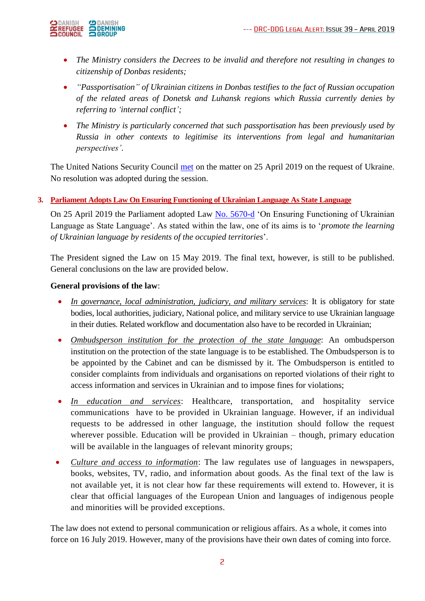

- *The Ministry considers the Decrees to be invalid and therefore not resulting in changes to citizenship of Donbas residents;*
- *"Passportisation" of Ukrainian citizens in Donbas testifies to the fact of Russian occupation of the related areas of Donetsk and Luhansk regions which Russia currently denies by referring to 'internal conflict';*
- *The Ministry is particularly concerned that such passportisation has been previously used by Russia in other contexts to legitimise its interventions from legal and humanitarian perspectives'*.

The United Nations Security Council [met](https://news.un.org/en/story/2019/04/1037371) on the matter on 25 April 2019 on the request of Ukraine. No resolution was adopted during the session.

## **3. Parliament Adopts Law On Ensuring Functioning of Ukrainian Language As State Language**

On 25 April 2019 the Parliament adopted Law [No. 5670-d](http://w1.c1.rada.gov.ua/pls/zweb2/webproc4_1?pf3511=61994) 'On Ensuring Functioning of Ukrainian Language as State Language'. As stated within the law, one of its aims is to '*promote the learning of Ukrainian language by residents of the occupied territories*'.

The President signed the Law on 15 May 2019. The final text, however, is still to be published. General conclusions on the law are provided below.

### **General provisions of the law**:

- *In governance, local administration, judiciary, and military services*: It is obligatory for state bodies, local authorities, judiciary, National police, and military service to use Ukrainian language in their duties. Related workflow and documentation also have to be recorded in Ukrainian;
- *Ombudsperson institution for the protection of the state language*: An ombudsperson institution on the protection of the state language is to be established. The Ombudsperson is to be appointed by the Cabinet and can be dismissed by it. The Ombudsperson is entitled to consider complaints from individuals and organisations on reported violations of their right to access information and services in Ukrainian and to impose fines for violations;
- *In education and services*: Healthcare, transportation, and hospitality service communications have to be provided in Ukrainian language. However, if an individual requests to be addressed in other language, the institution should follow the request wherever possible. Education will be provided in Ukrainian – though, primary education will be available in the languages of relevant minority groups;
- *Culture and access to information*: The law regulates use of languages in newspapers, books, websites, TV, radio, and information about goods. As the final text of the law is not available yet, it is not clear how far these requirements will extend to. However, it is clear that official languages of the European Union and languages of indigenous people and minorities will be provided exceptions.

The law does not extend to personal communication or religious affairs. As a whole, it comes into force on 16 July 2019. However, many of the provisions have their own dates of coming into force.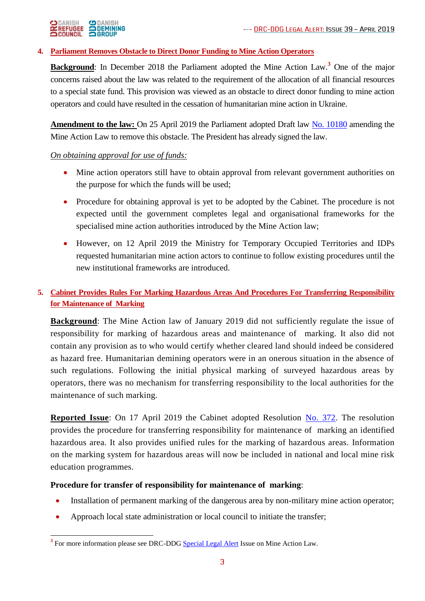# ODANISH ODANISH<br>Experience Odemining<br>Ocouncil Ogroup

## **4. Parliament Removes Obstacle to Direct Donor Funding to Mine Action Operators**

**Background**: In December 2018 the Parliament adopted the Mine Action Law.**<sup>3</sup>** One of the major concerns raised about the law was related to the requirement of the allocation of all financial resources to a special state fund. This provision was viewed as an obstacle to direct donor funding to mine action operators and could have resulted in the cessation of humanitarian mine action in Ukraine.

**Amendment to the law:** On 25 April 2019 the Parliament adopted Draft law [No. 10180](http://w1.c1.rada.gov.ua/pls/zweb2/webproc4_1?pf3511=65719) amending the Mine Action Law to remove this obstacle. The President has already signed the law.

## *On obtaining approval for use of funds:*

- Mine action operators still have to obtain approval from relevant government authorities on the purpose for which the funds will be used;
- Procedure for obtaining approval is yet to be adopted by the Cabinet. The procedure is not expected until the government completes legal and organisational frameworks for the specialised mine action authorities introduced by the Mine Action law;
- However, on 12 April 2019 the Ministry for Temporary Occupied Territories and IDPs requested humanitarian mine action actors to continue to follow existing procedures until the new institutional frameworks are introduced.

## **5. Cabinet Provides Rules For Marking Hazardous Areas And Procedures For Transferring Responsibility for Maintenance of Marking**

**Background**: The Mine Action law of January 2019 did not sufficiently regulate the issue of responsibility for marking of hazardous areas and maintenance of marking. It also did not contain any provision as to who would certify whether cleared land should indeed be considered as hazard free. Humanitarian demining operators were in an onerous situation in the absence of such regulations. Following the initial physical marking of surveyed hazardous areas by operators, there was no mechanism for transferring responsibility to the local authorities for the maintenance of such marking.

**Reported Issue**: On 17 April 2019 the Cabinet adopted Resolution [No. 372.](https://zakon.rada.gov.ua/laws/show/372-2019-п) The resolution provides the procedure for transferring responsibility for maintenance of marking an identified hazardous area. It also provides unified rules for the marking of hazardous areas. Information on the marking system for hazardous areas will now be included in national and local mine risk education programmes.

## **Procedure for transfer of responsibility for maintenance of marking**:

- Installation of permanent marking of the dangerous area by non-military mine action operator;
- Approach local state administration or local council to initiate the transfer;

<sup>-</sup><sup>3</sup> For more information please see DRC-DDG [Special Legal Alert](https://reliefweb.int/report/ukraine/ukraine-drc-ddg-legal-alert-special-mine-action-law-issue-35-january-2019-enruuk) Issue on Mine Action Law.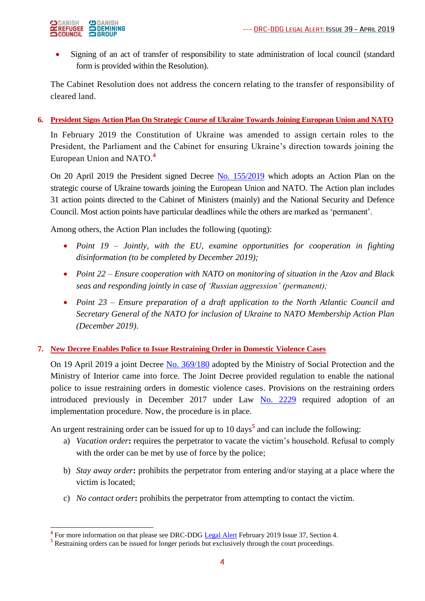

 Signing of an act of transfer of responsibility to state administration of local council (standard form is provided within the Resolution).

The Cabinet Resolution does not address the concern relating to the transfer of responsibility of cleared land.

## **6. President Signs Action Plan On Strategic Course of Ukraine Towards Joining European Union and NATO**

In February 2019 the Constitution of Ukraine was amended to assign certain roles to the President, the Parliament and the Cabinet for ensuring Ukraine's direction towards joining the European Union and NATO.**<sup>4</sup>**

On 20 April 2019 the President signed Decree [No. 155/2019](https://www.president.gov.ua/documents/1552019-26586) which adopts an Action Plan on the strategic course of Ukraine towards joining the European Union and NATO. The Action plan includes 31 action points directed to the Cabinet of Ministers (mainly) and the National Security and Defence Council. Most action points have particular deadlines while the others are marked as 'permanent'.

Among others, the Action Plan includes the following (quoting):

- *Point 19 – Jointly, with the EU, examine opportunities for cooperation in fighting disinformation (to be completed by December 2019);*
- *Point 22 – Ensure cooperation with NATO on monitoring of situation in the Azov and Black seas and responding jointly in case of 'Russian aggression' (permanent);*
- *Point 23 – Ensure preparation of a draft application to the North Atlantic Council and Secretary General of the NATO for inclusion of Ukraine to NATO Membership Action Plan (December 2019)*.

#### **7. New Decree Enables Police to Issue Restraining Order in Domestic Violence Cases**

On 19 April 2019 a joint Decree [No. 369/180](https://zakon.rada.gov.ua/laws/show/z0333-19/conv) adopted by the Ministry of Social Protection and the Ministry of Interior came into force. The Joint Decree provided regulation to enable the national police to issue restraining orders in domestic violence cases. Provisions on the restraining orders introduced previously in December 2017 under Law [No. 2229](https://zakon.rada.gov.ua/laws/show/2229-19) required adoption of an implementation procedure. Now, the procedure is in place.

An urgent restraining order can be issued for up to 10 days**<sup>5</sup>** and can include the following:

- a) *Vacation order***:** requires the perpetrator to vacate the victim's household. Refusal to comply with the order can be met by use of force by the police;
- b) *Stay away order***:** prohibits the perpetrator from entering and/or staying at a place where the victim is located;
- c) *No contact order***:** prohibits the perpetrator from attempting to contact the victim.

**<sup>4</sup>**<br>**4** For more information on that please see DRC-DDG <u>Legal Alert</u> February 2019 Issue 37, Section 4.

<sup>&</sup>lt;sup>5</sup> Restraining orders can be issued for longer periods but exclusively through the court proceedings.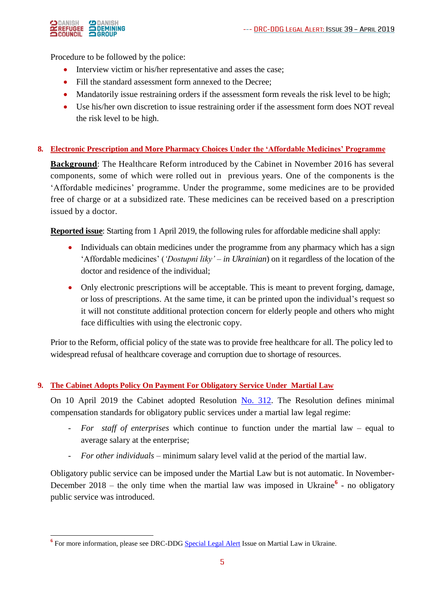

-

Procedure to be followed by the police:

- Interview victim or his/her representative and asses the case;
- Fill the standard assessment form annexed to the Decree;
- Mandatorily issue restraining orders if the assessment form reveals the risk level to be high;
- Use his/her own discretion to issue restraining order if the assessment form does NOT reveal the risk level to be high.

#### **8. Electronic Prescription and More Pharmacy Choices Under the 'Affordable Medicines' Programme**

**Background**: The Healthcare Reform introduced by the Cabinet in November 2016 has several components, some of which were rolled out in previous years. One of the components is the 'Affordable medicines' programme. Under the programme, some medicines are to be provided free of charge or at a subsidized rate. These medicines can be received based on a prescription issued by a doctor.

**Reported issue**: Starting from 1 April 2019, the following rules for affordable medicine shall apply:

- Individuals can obtain medicines under the programme from any pharmacy which has a sign 'Affordable medicines' (*'Dostupni liky' – in Ukrainian*) on it regardless of the location of the doctor and residence of the individual;
- Only electronic prescriptions will be acceptable. This is meant to prevent forging, damage, or loss of prescriptions. At the same time, it can be printed upon the individual's request so it will not constitute additional protection concern for elderly people and others who might face difficulties with using the electronic copy.

Prior to the Reform, official policy of the state was to provide free healthcare for all. The policy led to widespread refusal of healthcare coverage and corruption due to shortage of resources.

## **9. The Cabinet Adopts Policy On Payment For Obligatory Service Under Martial Law**

On 10 April 2019 the Cabinet adopted Resolution [No. 312.](https://zakon.rada.gov.ua/laws/show/312-2019-п) The Resolution defines minimal compensation standards for obligatory public services under a martial law legal regime:

- *For staff of enterprises* which continue to function under the martial law equal to average salary at the enterprise;
- *For other individuals* minimum salary level valid at the period of the martial law.

Obligatory public service can be imposed under the Martial Law but is not automatic. In November-December 2018 – the only time when the martial law was imposed in Ukraine<sup>6</sup> - no obligatory public service was introduced.

<sup>&</sup>lt;sup>6</sup> For more information, please see DRC-DDG [Special Legal Alert](https://www.humanitarianresponse.info/en/operations/ukraine/document/drc-legal-alert-issue-declaration-martial-law-ukraine) Issue on Martial Law in Ukraine.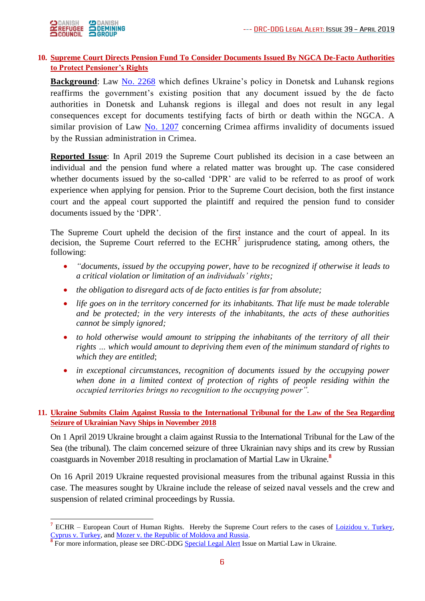

1

## **10. Supreme Court Directs Pension Fund To Consider Documents Issued By NGCA De-Facto Authorities to Protect Pensioner's Rights**

**Background**: Law [No. 2268](https://zakon.rada.gov.ua/laws/show/2268-19/print) which defines Ukraine's policy in Donetsk and Luhansk regions reaffirms the government's existing position that any document issued by the de facto authorities in Donetsk and Luhansk regions is illegal and does not result in any legal consequences except for documents testifying facts of birth or death within the NGCA. A similar provision of Law  $\overline{No}$ . 1207 concerning Crimea affirms invalidity of documents issued by the Russian administration in Crimea.

**Reported Issue**: In April 2019 the Supreme Court published its decision in a case between an individual and the pension fund where a related matter was brought up. The case considered whether documents issued by the so-called 'DPR' are valid to be referred to as proof of work experience when applying for pension. Prior to the Supreme Court decision, both the first instance court and the appeal court supported the plaintiff and required the pension fund to consider documents issued by the 'DPR'.

The Supreme Court upheld the decision of the first instance and the court of appeal. In its decision, the Supreme Court referred to the ECHR**<sup>7</sup>** jurisprudence stating, among others, the following:

- *"documents, issued by the occupying power, have to be recognized if otherwise it leads to a critical violation or limitation of an individuals' rights;*
- *the obligation to disregard acts of de facto entities is far from absolute;*
- *life goes on in the territory concerned for its inhabitants. That life must be made tolerable and be protected; in the very interests of the inhabitants, the acts of these authorities cannot be simply ignored;*
- *to hold otherwise would amount to stripping the inhabitants of the territory of all their rights … which would amount to depriving them even of the minimum standard of rights to which they are entitled*;
- *in exceptional circumstances, recognition of documents issued by the occupying power when done in a limited context of protection of rights of people residing within the occupied territories brings no recognition to the occupying power".*

## **11. Ukraine Submits Claim Against Russia to the International Tribunal for the Law of the Sea Regarding Seizure of Ukrainian Navy Ships in November 2018**

On 1 April 2019 Ukraine brought a claim against Russia to the International Tribunal for the Law of the Sea (the tribunal). The claim concerned seizure of three Ukrainian navy ships and its crew by Russian coastguards in November 2018 resulting in proclamation of Martial Law in Ukraine.**<sup>8</sup>**

On 16 April 2019 Ukraine requested provisional measures from the tribunal against Russia in this case. The measures sought by Ukraine include the release of seized naval vessels and the crew and suspension of related criminal proceedings by Russia.

**<sup>7</sup>** ECHR – European Court of Human Rights. Hereby the Supreme Court refers to the cases of [Loizidou v. Turkey,](https://www.google.com.ua/url?sa=t&rct=j&q=&esrc=s&source=web&cd=2&ved=2ahUKEwiGx4yQhqLiAhXPtYsKHQEcB5kQFjABegQIBBAC&url=http%3A%2F%2Fhudoc.echr.coe.int%2Fapp%2Fconversion%2Fpdf%2F%3Flibrary%3DECHR%26id%3D001-58007%26filename%3D001-58007.pdf&usg=AOvVaw0MY54NRfxB0ggkaK1BreGa)  [Cyprus v. Turkey,](https://hudoc.echr.coe.int/eng#{"itemid":["001-144151"]}) and Mozer [v. the Republic of Moldova and Russia.](https://www.bailii.org/eu/cases/ECHR/2016/213.html)

<sup>&</sup>lt;sup>8</sup> For more information, please see DRC-DDG [Special Legal Alert](https://www.humanitarianresponse.info/en/operations/ukraine/document/drc-legal-alert-issue-declaration-martial-law-ukraine) Issue on Martial Law in Ukraine.